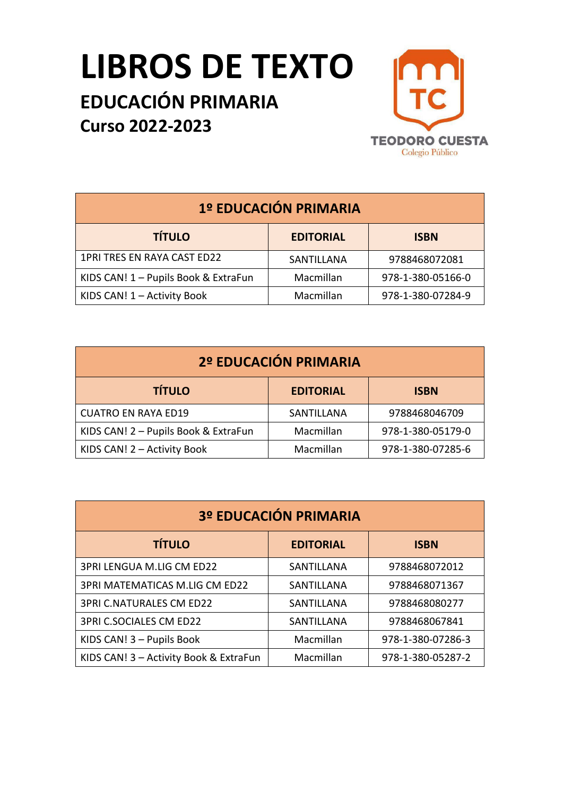## **LIBROS DE TEXTO**

## **EDUCACIÓN PRIMARIA Curso 2022-2023**



| 1º EDUCACIÓN PRIMARIA                |                  |                   |
|--------------------------------------|------------------|-------------------|
| <b>TÍTULO</b>                        | <b>EDITORIAL</b> | <b>ISBN</b>       |
| 1PRI TRES EN RAYA CAST ED22          | SANTILLANA       | 9788468072081     |
| KIDS CAN! 1 - Pupils Book & ExtraFun | Macmillan        | 978-1-380-05166-0 |
| KIDS CAN! 1 - Activity Book          | Macmillan        | 978-1-380-07284-9 |

| 2º EDUCACIÓN PRIMARIA                |                  |                   |
|--------------------------------------|------------------|-------------------|
| <b>TÍTULO</b>                        | <b>EDITORIAL</b> | <b>ISBN</b>       |
| <b>CUATRO EN RAYA ED19</b>           | SANTILLANA       | 9788468046709     |
| KIDS CAN! 2 - Pupils Book & ExtraFun | Macmillan        | 978-1-380-05179-0 |
| KIDS CAN! 2 - Activity Book          | Macmillan        | 978-1-380-07285-6 |

| 3º EDUCACIÓN PRIMARIA                  |                  |                   |  |
|----------------------------------------|------------------|-------------------|--|
| <b>TÍTULO</b>                          | <b>EDITORIAL</b> | <b>ISBN</b>       |  |
| 3PRI LENGUA M.LIG CM ED22              | SANTILLANA       | 9788468072012     |  |
| 3PRI MATEMATICAS M.LIG CM ED22         | SANTILLANA       | 9788468071367     |  |
| <b>3PRI C.NATURALES CM ED22</b>        | SANTILLANA       | 9788468080277     |  |
| 3PRI C.SOCIALES CM ED22                | SANTILLANA       | 9788468067841     |  |
| KIDS CAN! 3 - Pupils Book              | Macmillan        | 978-1-380-07286-3 |  |
| KIDS CAN! 3 - Activity Book & ExtraFun | Macmillan        | 978-1-380-05287-2 |  |